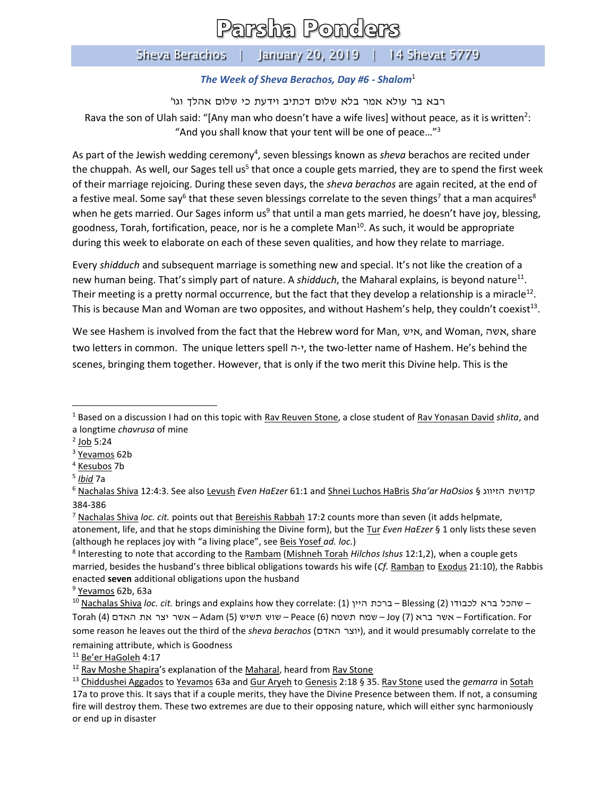## Parsha Ponders

## Sheva Berachos | January 20, 2019 | 14 Shevat 5779

## *The Week of Sheva Berachos, Day #6 - Shalom*<sup>1</sup>

רבא בר עולא אמר בלא שלום דכתיב וידעת כי שלום אהלך וגו' Rava the son of Ulah said: "[Any man who doesn't have a wife lives] without peace, as it is written<sup>2</sup>: "And you shall know that your tent will be one of peace…"<sup>3</sup>

As part of the Jewish wedding ceremony<sup>4</sup>, seven blessings known as *sheva* berachos are recited under the chuppah. As well, our Sages tell us<sup>5</sup> that once a couple gets married, they are to spend the first week of their marriage rejoicing. During these seven days, the *sheva berachos* are again recited, at the end of a festive meal. Some say<sup>6</sup> that these seven blessings correlate to the seven things<sup>7</sup> that a man acquires<sup>8</sup> when he gets married. Our Sages inform us<sup>9</sup> that until a man gets married, he doesn't have joy, blessing, goodness, Torah, fortification, peace, nor is he a complete Man<sup>10</sup>. As such, it would be appropriate during this week to elaborate on each of these seven qualities, and how they relate to marriage.

Every *shidduch* and subsequent marriage is something new and special. It's not like the creation of a new human being. That's simply part of nature. A shidduch, the Maharal explains, is beyond nature<sup>11</sup>. Their meeting is a pretty normal occurrence, but the fact that they develop a relationship is a miracle<sup>12</sup>. This is because Man and Woman are two opposites, and without Hashem's help, they couldn't coexist<sup>13</sup>.

We see Hashem is involved from the fact that the Hebrew word for Man, איש, and Woman, אשה, share two letters in common. The unique letters spell ה-י, the two-letter name of Hashem. He's behind the scenes, bringing them together. However, that is only if the two merit this Divine help. This is the

 $\overline{\phantom{a}}$ 

<sup>11</sup> Be'er HaGoleh 4:17

<sup>1</sup> Based on a discussion I had on this topic with Rav Reuven Stone, a close student of Rav Yonasan David *shlita*, and a longtime *chavrusa* of mine

<sup>&</sup>lt;sup>2</sup> J<u>ob</u> 5:24

<sup>&</sup>lt;sup>3</sup> Yevamos 62b

<sup>4</sup> Kesubos 7b

<sup>5</sup> *Ibid* 7a

<sup>6</sup> Nachalas Shiva 12:4:3. See also Levush *Even HaEzer* 61:1 and Shnei Luchos HaBris *Sha'ar HaOsios* § הזיווג קדושת 384-386

<sup>7</sup> Nachalas Shiva *loc. cit.* points out that Bereishis Rabbah 17:2 counts more than seven (it adds helpmate, atonement, life, and that he stops diminishing the Divine form), but the Tur *Even HaEzer* § 1 only lists these seven (although he replaces joy with "a living place", see Beis Yosef *ad. loc.*)

<sup>8</sup> Interesting to note that according to the Rambam (Mishneh Torah *Hilchos Ishus* 12:1,2), when a couple gets married, besides the husband's three biblical obligations towards his wife (*Cf.* Ramban to Exodus 21:10), the Rabbis enacted **seven** additional obligations upon the husband

<sup>&</sup>lt;sup>9</sup> Yevamos 62b, 63a

<sup>10</sup> Nachalas Shiva *loc. cit.* brings and explains how they correlate: (1) היין ברכת – Blessing (2) לכבודו ברא שהכל– For .Fortification – אשר ברא (7) Joy – שמח תשמח (6) Peace – שוש תשיש (5) Adam – אשר יצר את האדם (4) Torah some reason he leaves out the third of the *sheva berachos* (האדם יוצר(, and it would presumably correlate to the remaining attribute, which is Goodness

<sup>&</sup>lt;sup>12</sup> Rav Moshe Shapira's explanation of the Maharal, heard from Rav Stone

<sup>13</sup> Chiddushei Aggados to Yevamos 63a and Gur Aryeh to Genesis 2:18 § 35. Rav Stone used the *gemarra* in Sotah 17a to prove this. It says that if a couple merits, they have the Divine Presence between them. If not, a consuming fire will destroy them. These two extremes are due to their opposing nature, which will either sync harmoniously or end up in disaster